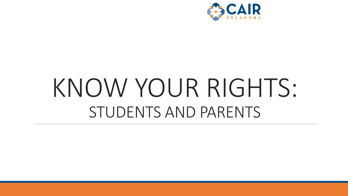

## KNOW YOUR RIGHTS: STUDENTS AND PARENTS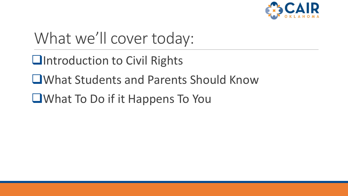

### What we'll cover today:

❑Introduction to Civil Rights

❑What Students and Parents Should Know

❑What To Do if it Happens To You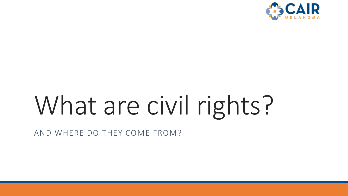

# What are civil rights?

AND WHERE DO THEY COME FROM?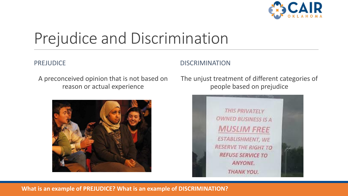

### Prejudice and Discrimination

#### PREJUDICE

#### DISCRIMINATION

A preconceived opinion that is not based on reason or actual experience



The unjust treatment of different categories of people based on prejudice



#### **What is an example of PREJUDICE? What is an example of DISCRIMINATION?**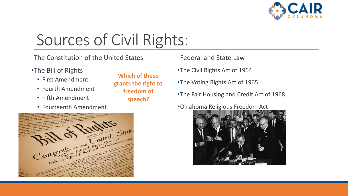

## Sources of Civil Rights:

The Constitution of the United States

- •The Bill of Rights
	- First Amendment
	- Fourth Amendment
	- Fifth Amendment
	- Fourteenth Amendment

**Which of these grants the right to freedom of speech?**

Federal and State Law

- •The Civil Rights Act of 1964
- •The Voting Rights Act of 1965
- •The Fair Housing and Credit Act of 1968
- •Oklahoma Religious Freedom Act



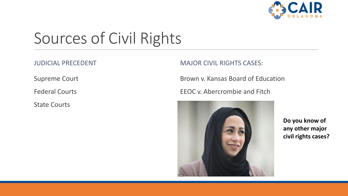

## Sources of Civil Rights

JUDICIAL PRECEDENT

Supreme Court

Federal Courts

State Courts

MAJOR CIVIL RIGHTS CASES:

Brown v. Kansas Board of Education

EEOC v. Abercrombie and Fitch



**Do you know of any other major civil rights cases?**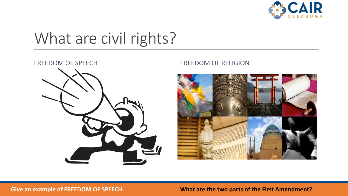

### What are civil rights?



#### FREEDOM OF SPEECH FREEDOM OF RELIGION



**Give an example of FREEDOM OF SPEECH. What are the two parts of the First Amendment?**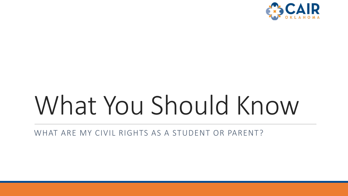

# What You Should Know

WHAT ARE MY CIVIL RIGHTS AS A STUDENT OR PARENT?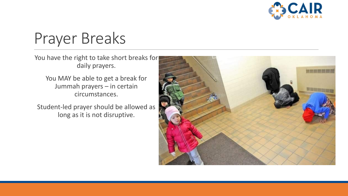

### Prayer Breaks

You have the right to take short breaks for daily prayers.

You MAY be able to get a break for Jummah prayers – in certain circumstances.

Student-led prayer should be allowed as long as it is not disruptive.

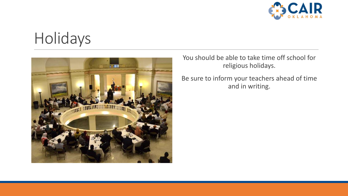

#### Holidays



You should be able to take time off school for religious holidays.

Be sure to inform your teachers ahead of time and in writing.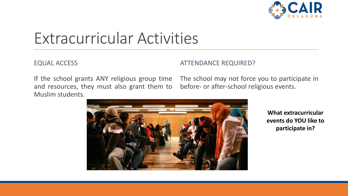

### Extracurricular Activities

#### EQUAL ACCESS

#### ATTENDANCE REQUIRED?

If the school grants ANY religious group time and resources, they must also grant them to Muslim students.

The school may not force you to participate in before- or after-school religious events.



**What extracurricular events do YOU like to participate in?**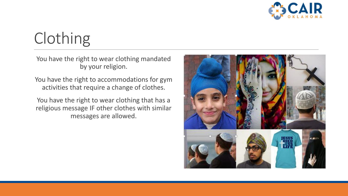

## Clothing

You have the right to wear clothing mandated by your religion.

You have the right to accommodations for gym activities that require a change of clothes.

You have the right to wear clothing that has a religious message IF other clothes with similar messages are allowed.

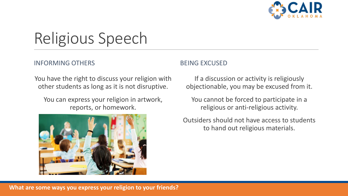

## Religious Speech

#### INFORMING OTHERS

You have the right to discuss your religion with other students as long as it is not disruptive.

You can express your religion in artwork, reports, or homework.



#### BEING EXCUSED

If a discussion or activity is religiously objectionable, you may be excused from it.

You cannot be forced to participate in a religious or anti-religious activity.

Outsiders should not have access to students to hand out religious materials.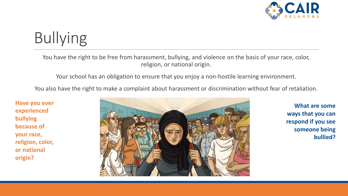

## Bullying

You have the right to be free from harassment, bullying, and violence on the basis of your race, color, religion, or national origin.

Your school has an obligation to ensure that you enjoy a non-hostile learning environment.

You also have the right to make a complaint about harassment or discrimination without fear of retaliation.

**Have you ever experienced bullying because of your race, religion, color, or national origin?**



**What are some ways that you can respond if you see someone being bullied?**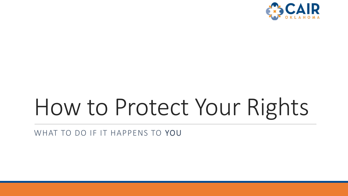

# How to Protect Your Rights

WHAT TO DO IF IT HAPPENS TO YOU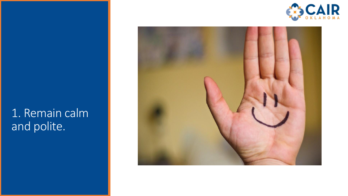

#### 1. Remain calm and polite.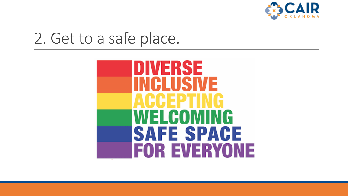

#### 2. Get to a safe place.

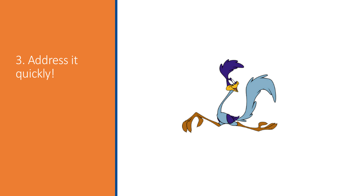#### 3. Address it quickly!

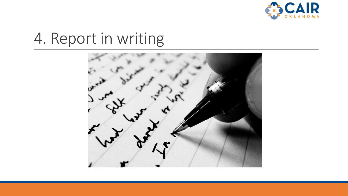

### 4. Report in writing

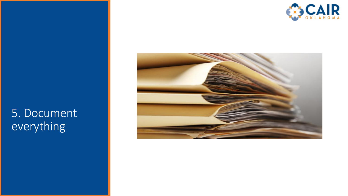

#### 5. Document everything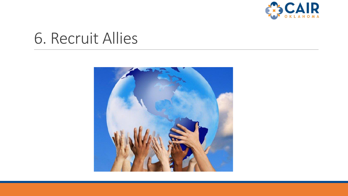

#### 6. Recruit Allies